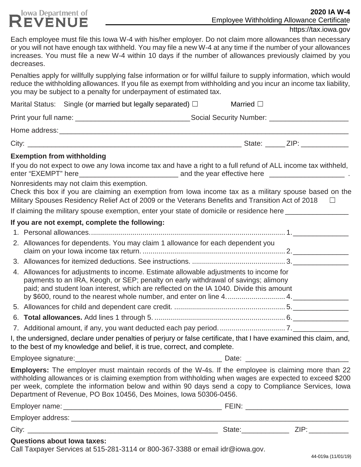| <b>TOWA DEPALTITULE OF</b><br><b>REVENUE</b>                                                                                                                                                                                                                                                                                                                                                 |                   | <b>Employee Withholding Allowance Certificate</b> |
|----------------------------------------------------------------------------------------------------------------------------------------------------------------------------------------------------------------------------------------------------------------------------------------------------------------------------------------------------------------------------------------------|-------------------|---------------------------------------------------|
|                                                                                                                                                                                                                                                                                                                                                                                              |                   | https://tax.iowa.gov                              |
| Each employee must file this lowa W-4 with his/her employer. Do not claim more allowances than necessary<br>or you will not have enough tax withheld. You may file a new W-4 at any time if the number of your allowances<br>increases. You must file a new W-4 within 10 days if the number of allowances previously claimed by you<br>decreases.                                           |                   |                                                   |
| Penalties apply for willfully supplying false information or for willful failure to supply information, which would<br>reduce the withholding allowances. If you file as exempt from withholding and you incur an income tax liability,<br>you may be subject to a penalty for underpayment of estimated tax.                                                                                |                   |                                                   |
| Marital Status: Single (or married but legally separated) $\Box$                                                                                                                                                                                                                                                                                                                             | Married $\square$ |                                                   |
|                                                                                                                                                                                                                                                                                                                                                                                              |                   |                                                   |
| Home address: North Contract Contract Contract Contract Contract Contract Contract Contract Contract Contract Contract Contract Contract Contract Contract Contract Contract Contract Contract Contract Contract Contract Cont                                                                                                                                                               |                   |                                                   |
|                                                                                                                                                                                                                                                                                                                                                                                              |                   |                                                   |
| <b>Exemption from withholding</b>                                                                                                                                                                                                                                                                                                                                                            |                   |                                                   |
| If you do not expect to owe any lowa income tax and have a right to a full refund of ALL income tax withheld,                                                                                                                                                                                                                                                                                |                   |                                                   |
| Nonresidents may not claim this exemption.<br>Check this box if you are claiming an exemption from lowa income tax as a military spouse based on the<br>Military Spouses Residency Relief Act of 2009 or the Veterans Benefits and Transition Act of 2018 $\Box$                                                                                                                             |                   |                                                   |
| If claiming the military spouse exemption, enter your state of domicile or residence here ________________                                                                                                                                                                                                                                                                                   |                   |                                                   |
| If you are not exempt, complete the following:                                                                                                                                                                                                                                                                                                                                               |                   |                                                   |
|                                                                                                                                                                                                                                                                                                                                                                                              |                   |                                                   |
| 2. Allowances for dependents. You may claim 1 allowance for each dependent you                                                                                                                                                                                                                                                                                                               |                   |                                                   |
|                                                                                                                                                                                                                                                                                                                                                                                              |                   |                                                   |
| 4. Allowances for adjustments to income. Estimate allowable adjustments to income for<br>payments to an IRA, Keogh, or SEP; penalty on early withdrawal of savings; alimony<br>paid; and student loan interest, which are reflected on the IA 1040. Divide this amount                                                                                                                       |                   |                                                   |
|                                                                                                                                                                                                                                                                                                                                                                                              |                   |                                                   |
|                                                                                                                                                                                                                                                                                                                                                                                              |                   |                                                   |
|                                                                                                                                                                                                                                                                                                                                                                                              |                   |                                                   |
| I, the undersigned, declare under penalties of perjury or false certificate, that I have examined this claim, and,<br>to the best of my knowledge and belief, it is true, correct, and complete.                                                                                                                                                                                             |                   |                                                   |
|                                                                                                                                                                                                                                                                                                                                                                                              |                   |                                                   |
| Employers: The employer must maintain records of the W-4s. If the employee is claiming more than 22<br>withholding allowances or is claiming exemption from withholding when wages are expected to exceed \$200<br>per week, complete the information below and within 90 days send a copy to Compliance Services, Iowa<br>Department of Revenue, PO Box 10456, Des Moines, Iowa 50306-0456. |                   |                                                   |
|                                                                                                                                                                                                                                                                                                                                                                                              |                   |                                                   |
|                                                                                                                                                                                                                                                                                                                                                                                              |                   |                                                   |

City: \_\_\_\_\_\_\_\_\_\_\_\_\_\_\_\_\_\_\_\_\_\_\_\_\_\_\_\_\_\_\_\_\_\_\_\_\_\_\_\_\_\_\_\_\_\_\_\_ State:\_\_\_\_\_\_\_\_\_\_\_\_ ZIP: \_\_\_\_\_\_\_\_\_\_

**Questions about Iowa taxes:**

**Jowa Department of** 

Call Taxpayer Services at 515-281-3114 or 800-367-3388 or email [idr@iowa.gov.](mailto:idr@iowa.gov)

**2020 IA W-4**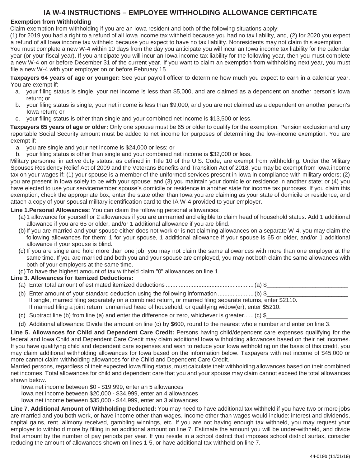## **IA W-4 INSTRUCTIONS – EMPLOYEE WITHHOLDING ALLOWANCE CERTIFICATE**

#### **Exemption from Withholding**

Claim exemption from withholding if you are an Iowa resident and both of the following situations apply:

(1) for 2019 you had a right to a refund of all Iowa income tax withheld because you had no tax liability, and, (2) for 2020 you expect a refund of all Iowa income tax withheld because you expect to have no tax liability. Nonresidents may not claim this exemption.

You must complete a new W-4 within 10 days from the day you anticipate you will incur an Iowa income tax liability for the calendar year (or your fiscal year). If you anticipate you will incur an Iowa income tax liability for the following year, then you must complete a new W-4 on or before December 31 of the current year. If you want to claim an exemption from withholding next year, you must file a new W-4 with your employer on or before February 15.

**Taxpayers 64 years of age or younger:** See your payroll officer to determine how much you expect to earn in a calendar year. You are exempt if:

- a. your filing status is single, your net income is less than \$5,000, and are claimed as a dependent on another person's Iowa return; or
- b. your filing status is single, your net income is less than \$9,000, and you are not claimed as a dependent on another person's Iowa return; or
- c. your filing status is other than single and your combined net income is \$13,500 or less.

**Taxpayers 65 years of age or older:** Only one spouse must be 65 or older to qualify for the exemption. Pension exclusion and any reportable Social Security amount must be added to net income for purposes of determining the low-income exemption. You are exempt if:

a. you are single and your net income is \$24,000 or less; or

b. your filing status is other than single and your combined net income is \$32,000 or less.

Military personnel in active duty status, as defined in Title 10 of the U.S. Code, are exempt from withholding. Under the Military Spouses Residency Relief Act of 2009 and the Veterans Benefits and Transition Act of 2018, you may be exempt from Iowa income tax on your wages if: (1) your spouse is a member of the uniformed services present in Iowa in compliance with military orders; (2) you are present in Iowa solely to be with your spouse; and (3) you maintain your domicile or residence in another state; or (4) you have elected to use your servicemember spouse's domicile or residence in another state for income tax purposes. If you claim this exemption, check the appropriate box, enter the state other than Iowa you are claiming as your state of domicile or residence, and attach a copy of your spousal military identification card to the IA W-4 provided to your employer.

**Line 1.Personal Allowances:** You can claim the following personal allowances:

- (a)1 allowance for yourself or 2 allowances if you are unmarried and eligible to claim head of household status. Add 1 additional allowance if you are 65 or older, and/or 1 additional allowance if you are blind.
- (b)If you are married and your spouse either does not work or is not claiming allowances on a separate W-4, you may claim the following allowances for them: 1 for your spouse, 1 additional allowance if your spouse is 65 or older, and/or 1 additional allowance if your spouse is blind.
- (c) If you are single and hold more than one job, you may not claim the same allowances with more than one employer at the same time. If you are married and both you and your spouse are employed, you may not both claim the same allowances with both of your employers at the same time.
- (d)To have the highest amount of tax withheld claim "0" allowances on line 1.

#### **Line 3. Allowances for Itemized Deductions:**

- (a) Enter total amount of estimated itemized deductions ......................................................(a) \$\_\_\_\_\_\_\_\_\_\_\_\_\_\_\_\_\_\_\_\_\_\_\_\_\_
- (b) Enter amount of your standard deduction using the following information  $\ldots$  $\ldots$  $\ldots$  $\ldots$  $\ldots$  $\ldots$  $\ldots$ If single, married filing separately on a combined return, or married filing separate returns, enter \$2110. If married filing a joint return, unmarried head of household, or qualifying widow(er), enter \$5210.
- (c) Subtract line (b) from line (a) and enter the difference or zero, whichever is greater.......(c)  $\$
- (d) Additional allowance: Divide the amount on line (c) by \$600, round to the nearest whole number and enter on line 3.

**Line 5. Allowances for Child and Dependent Care Credit:** Persons having child/dependent care expenses qualifying for the federal and Iowa Child and Dependent Care Credit may claim additional Iowa withholding allowances based on their net incomes. If you have qualifying child and dependent care expenses and wish to reduce your Iowa withholding on the basis of this credit, you may claim additional withholding allowances for Iowa based on the information below. Taxpayers with net income of \$45,000 or more cannot claim withholding allowances for the Child and Dependent Care Credit.

Married persons, regardless of their expected Iowa filing status, must calculate their withholding allowances based on their combined net incomes. Total allowances for child and dependent care that you and your spouse may claim cannot exceed the total allowances shown below.

Iowa net income between \$0 - \$19,999, enter an 5 allowances

Iowa net income between \$20,000 - \$34,999, enter an 4 allowances

Iowa net income between \$35,000 - \$44,999, enter an 3 allowances

**Line 7. Additional Amount of Withholding Deducted:** You may need to have additional tax withheld if you have two or more jobs are married and you both work, or have income other than wages. Income other than wages would include: interest and dividends, capital gains, rent, alimony received, gambling winnings, etc. If you are not having enough tax withheld, you may request your employer to withhold more by filling in an additional amount on line 7. Estimate the amount you will be under-withheld, and divide that amount by the number of pay periods per year. If you reside in a school district that imposes school district surtax, consider reducing the amount of allowances shown on lines 1-5, or have additional tax withheld on line 7.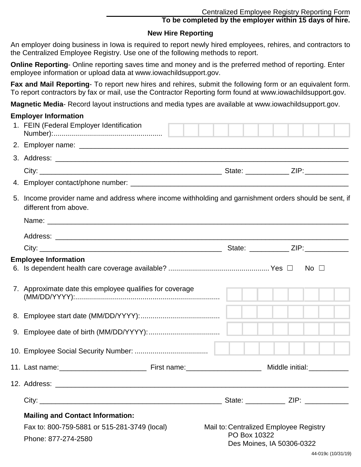**To be completed by the employer within 15 days of hire.**

## **New Hire Reporting**

An employer doing business in Iowa is required to report newly hired employees, rehires, and contractors to the Centralized Employee Registry. Use one of the following methods to report.

**Online Reporting**- Online reporting saves time and money and is the preferred method of reporting. Enter employee information or upload data at www.iowachildsupport.gov.

**Fax and Mail Reporting**- To report new hires and rehires, submit the following form or an equivalent form. To report contractors by fax or mail, use the Contractor Reporting form found at www.iowachildsupport.gov.

**Magnetic Media**- Record layout instructions and media types are available at www.iowachildsupport.gov.

#### **Employer Information**

| 1. FEIN (Federal Employer Identification                                                                                        |                                        |                           |  |  |
|---------------------------------------------------------------------------------------------------------------------------------|----------------------------------------|---------------------------|--|--|
|                                                                                                                                 |                                        |                           |  |  |
|                                                                                                                                 |                                        |                           |  |  |
|                                                                                                                                 |                                        |                           |  |  |
|                                                                                                                                 |                                        |                           |  |  |
| 5. Income provider name and address where income withholding and garnishment orders should be sent, if<br>different from above. |                                        |                           |  |  |
|                                                                                                                                 |                                        |                           |  |  |
|                                                                                                                                 |                                        |                           |  |  |
|                                                                                                                                 |                                        |                           |  |  |
| <b>Employee Information</b>                                                                                                     |                                        |                           |  |  |
|                                                                                                                                 |                                        |                           |  |  |
| 7. Approximate date this employee qualifies for coverage                                                                        |                                        |                           |  |  |
|                                                                                                                                 |                                        |                           |  |  |
|                                                                                                                                 |                                        |                           |  |  |
|                                                                                                                                 |                                        |                           |  |  |
|                                                                                                                                 |                                        |                           |  |  |
| 12. Address:                                                                                                                    |                                        |                           |  |  |
|                                                                                                                                 |                                        |                           |  |  |
| <b>Mailing and Contact Information:</b>                                                                                         |                                        |                           |  |  |
| Fax to: 800-759-5881 or 515-281-3749 (local)                                                                                    | Mail to: Centralized Employee Registry |                           |  |  |
| Phone: 877-274-2580                                                                                                             | PO Box 10322                           | Des Moines, IA 50306-0322 |  |  |